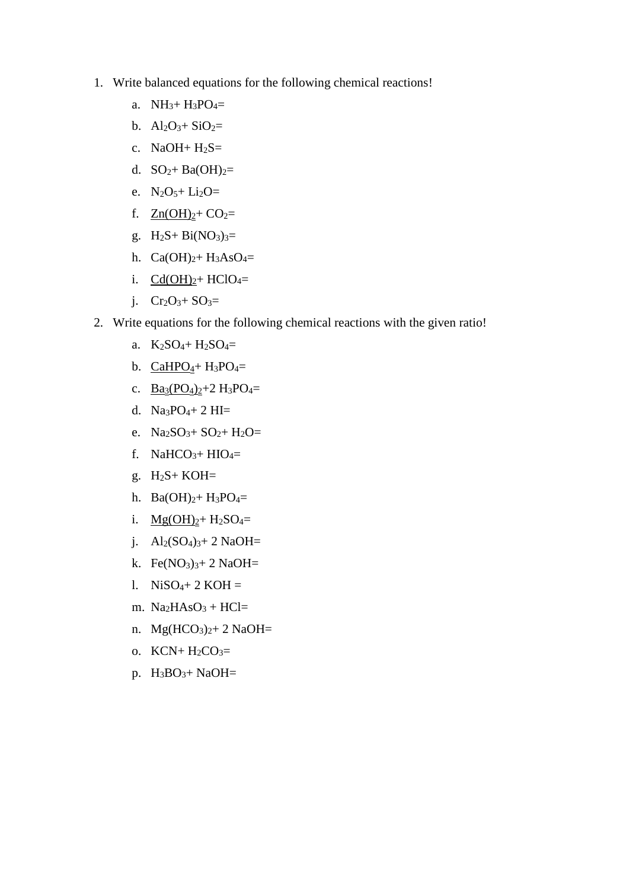- 1. Write balanced equations for the following chemical reactions!
	- a.  $NH_3 + H_3PO_4 =$
	- b.  $Al_2O_3 + SiO_2 =$
	- c. NaOH +  $H_2S=$
	- d.  $SO_2 + Ba(OH)_{2} =$
	- e.  $N_2O_5 + Li_2O =$
	- f.  $Zn(OH)<sub>2</sub>+ CO<sub>2</sub>=$
	- g.  $H_2S + Bi(NO_3)_{3} =$
	- h.  $Ca(OH)<sub>2</sub>+H<sub>3</sub>AsO<sub>4</sub>=$
	- i.  $Cd(OH)<sub>2</sub> + HClO<sub>4</sub>=$
	- j.  $Cr_2O_3 + SO_3 =$
- 2. Write equations for the following chemical reactions with the given ratio!
	- a.  $K_2SO_4+H_2SO_4=$
	- b.  $CaHPO<sub>4</sub>+H<sub>3</sub>PO<sub>4</sub>=$
	- c.  $Ba_3(PO_4)_2 + 2 H_3PO_4 =$
	- d. Na3PO4+ 2 HI=
	- e.  $Na_2SO_3 + SO_2 + H_2O =$
	- f. NaHCO<sub>3</sub>+ HIO<sub>4</sub>=
	- g. H2S+ KOH=
	- h.  $Ba(OH)<sub>2</sub>+H<sub>3</sub>PO<sub>4</sub>=$
	- i.  $Mg(OH)<sub>2</sub>+H<sub>2</sub>SO<sub>4</sub>=$
	- j.  $Al_2(SO_4)_{3}$ + 2 NaOH=
	- k. Fe $(NO<sub>3</sub>)<sub>3</sub>+ 2$  NaOH=
	- 1. Ni $SO_4+2$  KOH =
	- m.  $Na<sub>2</sub>HAsO<sub>3</sub> + HCl=$
	- n.  $Mg(HCO<sub>3</sub>)<sub>2</sub>+ 2 NaOH=$
	- o.  $KCN+H_2CO_3=$
	- p. H3BO3+ NaOH=